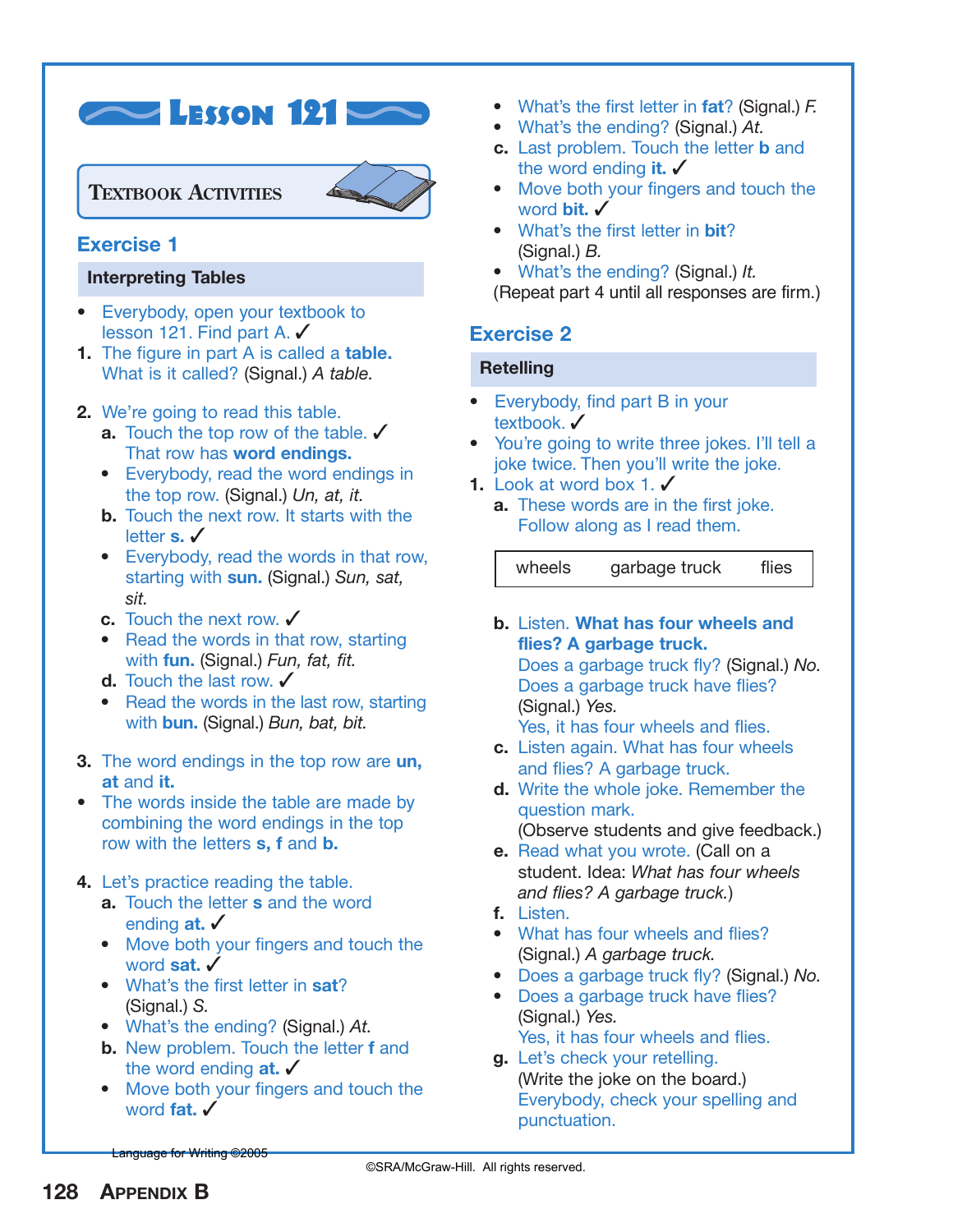

### **TEXTBOOK ACTIVITIES**



### **Exercise 1**

#### **Interpreting Tables**

- **•** Everybody, open your textbook to lesson 121. Find part A. ✓
- **1.** The figure in part A is called a **table.** What is it called? (Signal.) *A table.*
- **2.** We're going to read this table.
	- **a.** Touch the top row of the table. ✔ That row has **word endings.**
	- **•** Everybody, read the word endings in the top row. (Signal.) *Un, at, it.*
	- **b.** Touch the next row. It starts with the letter **s.** ✓
	- **•** Everybody, read the words in that row, starting with **sun.** (Signal.) *Sun, sat, sit.*
	- **c.** Touch the next row. ✓
	- **•** Read the words in that row, starting with **fun.** (Signal.) *Fun, fat, fit.*
	- **d.** Touch the last row. ✔
	- Read the words in the last row, starting with **bun.** (Signal.) *Bun, bat, bit.*
- **3.** The word endings in the top row are **un, at** and **it.**
- **•** The words inside the table are made by combining the word endings in the top row with the letters **s, f** and **b.**

### **4.** Let's practice reading the table.

- **a.** Touch the letter **s** and the word ending **at.** ✓
- **•** Move both your fingers and touch the word **sat.** ✓
- **•** What's the first letter in **sat**? (Signal.) *S.*
- **•** What's the ending? (Signal.) *At.*
- **b.** New problem. Touch the letter **f** and the word ending **at.** ✓
- **•** Move both your fingers and touch the word **fat.** ✔
- **•** What's the first letter in **fat**? (Signal.) *F.*
- **•** What's the ending? (Signal.) *At.*
- **c.** Last problem. Touch the letter **b** and the word ending **it.** ✓
- **•** Move both your fingers and touch the word **bit.** ✓
- **•** What's the first letter in **bit**? (Signal.) *B.*
- **•** What's the ending? (Signal.) *It.*

(Repeat part 4 until all responses are firm.)

## **Exercise 2**

### **Retelling**

- **•** Everybody, find part B in your textbook. ✔
- **•** You're going to write three jokes. I'll tell a joke twice. Then you'll write the joke.
- **1.** Look at word box 1. ✔
	- **a.** These words are in the first joke. Follow along as I read them.

wheels garbage truck flies

**b.** Listen. **What has four wheels and flies? A garbage truck.** Does a garbage truck fly? (Signal.) *No.* Does a garbage truck have flies? (Signal.) *Yes.*

Yes, it has four wheels and flies.

- **c.** Listen again. What has four wheels and flies? A garbage truck.
- **d.** Write the whole joke. Remember the question mark. (Observe students and give feedback.)
- **e.** Read what you wrote. (Call on a student. Idea: *What has four wheels and flies? A garbage truck.*)
- **f.** Listen.
- **•** What has four wheels and flies? (Signal.) *A garbage truck.*
- **•** Does a garbage truck fly? (Signal.) *No.*
- **•** Does a garbage truck have flies? (Signal.) *Yes.* Yes, it has four wheels and flies.
- **g.** Let's check your retelling. (Write the joke on the board.) Everybody, check your spelling and punctuation.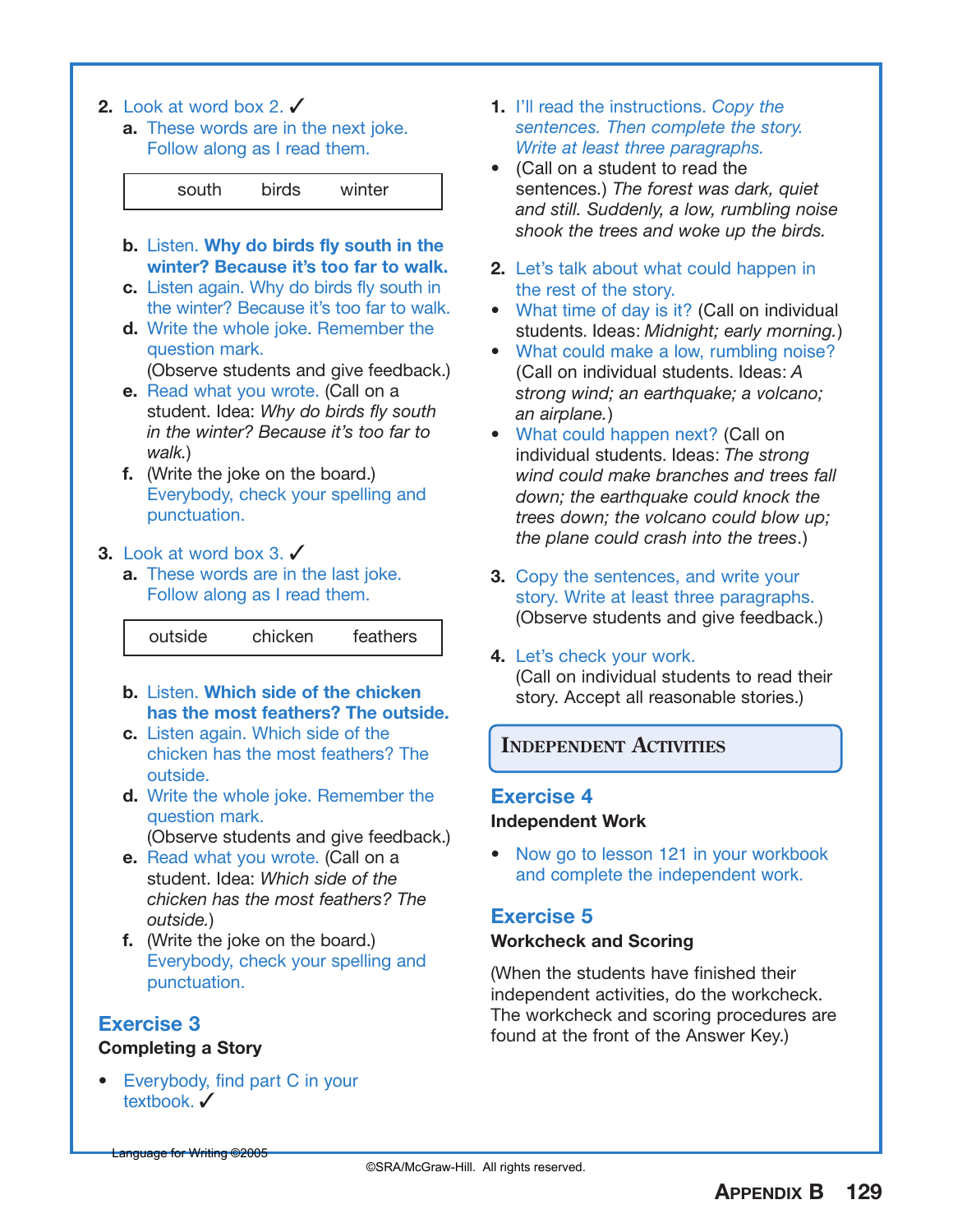- **2.** Look at word box 2. ✓
	- **a.** These words are in the next joke. Follow along as I read them.



- **b.** Listen. **Why do birds fly south in the winter? Because it's too far to walk.**
- **c.** Listen again. Why do birds fly south in the winter? Because it's too far to walk.
- **d.** Write the whole joke. Remember the question mark.

(Observe students and give feedback.)

- **e.** Read what you wrote. (Call on a student. Idea: *Why do birds fly south in the winter? Because it's too far to walk.*)
- **f.** (Write the joke on the board.) Everybody, check your spelling and punctuation.
- **3.** Look at word box 3. ✓
	- **a.** These words are in the last joke. Follow along as I read them.

#### outside chicken feathers

- **b.** Listen. **Which side of the chicken has the most feathers? The outside.**
- **c.** Listen again. Which side of the chicken has the most feathers? The outside.
- **d.** Write the whole joke. Remember the question mark.
	- (Observe students and give feedback.)
- **e.** Read what you wrote. (Call on a student. Idea: *Which side of the chicken has the most feathers? The outside.*)
- **f.** (Write the joke on the board.) Everybody, check your spelling and punctuation.

# **Exercise 3**

### **Completing a Story**

**•** Everybody, find part C in your textbook √

- **1.** I'll read the instructions. *Copy the sentences. Then complete the story. Write at least three paragraphs.*
- **•** (Call on a student to read the sentences.) *The forest was dark, quiet and still. Suddenly, a low, rumbling noise shook the trees and woke up the birds.*
- **2.** Let's talk about what could happen in the rest of the story.
- **•** What time of day is it? (Call on individual students. Ideas: *Midnight; early morning.*)
- **•** What could make a low, rumbling noise? (Call on individual students. Ideas: *A strong wind; an earthquake; a volcano; an airplane.*)
- **•** What could happen next? (Call on individual students. Ideas: *The strong wind could make branches and trees fall down; the earthquake could knock the trees down; the volcano could blow up; the plane could crash into the trees*.)
- **3.** Copy the sentences, and write your story. Write at least three paragraphs. (Observe students and give feedback.)
- **4.** Let's check your work. (Call on individual students to read their story. Accept all reasonable stories.)

### **INDEPENDENT ACTIVITIES**

# **Exercise 4**

#### **Independent Work**

**•** Now go to lesson 121 in your workbook and complete the independent work.

# **Exercise 5**

### **Workcheck and Scoring**

(When the students have finished their independent activities, do the workcheck. The workcheck and scoring procedures are found at the front of the Answer Key.)